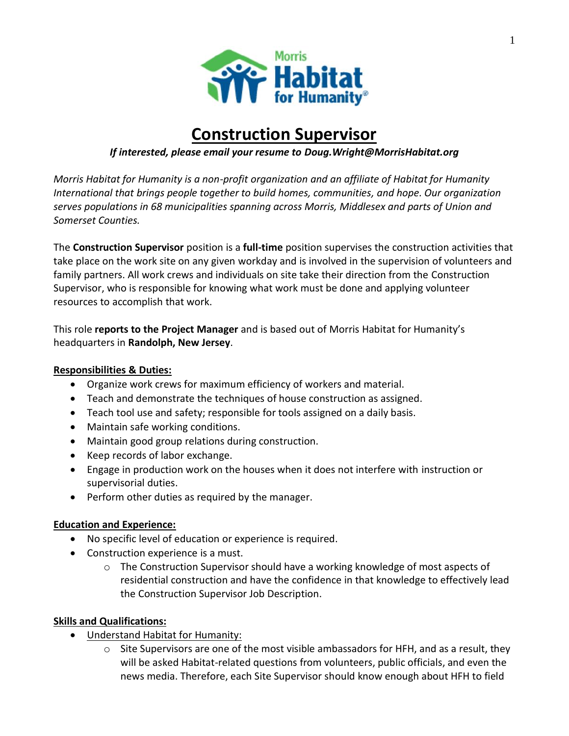

# **Construction Supervisor**

# *If interested, please email your resume to Doug.Wright@MorrisHabitat.org*

*Morris Habitat for Humanity is a non-profit organization and an affiliate of Habitat for Humanity International that brings people together to build homes, communities, and hope. Our organization serves populations in 68 municipalities spanning across Morris, Middlesex and parts of Union and Somerset Counties.*

The **Construction Supervisor** position is a **full-time** position supervises the construction activities that take place on the work site on any given workday and is involved in the supervision of volunteers and family partners. All work crews and individuals on site take their direction from the Construction Supervisor, who is responsible for knowing what work must be done and applying volunteer resources to accomplish that work.

This role **reports to the Project Manager** and is based out of Morris Habitat for Humanity's headquarters in **Randolph, New Jersey**.

#### **Responsibilities & Duties:**

- Organize work crews for maximum efficiency of workers and material.
- Teach and demonstrate the techniques of house construction as assigned.
- Teach tool use and safety; responsible for tools assigned on a daily basis.
- Maintain safe working conditions.
- Maintain good group relations during construction.
- Keep records of labor exchange.
- Engage in production work on the houses when it does not interfere with instruction or supervisorial duties.
- Perform other duties as required by the manager.

## **Education and Experience:**

- No specific level of education or experience is required.
- Construction experience is a must.
	- $\circ$  The Construction Supervisor should have a working knowledge of most aspects of residential construction and have the confidence in that knowledge to effectively lead the Construction Supervisor Job Description.

## **Skills and Qualifications:**

- Understand Habitat for Humanity:
	- o Site Supervisors are one of the most visible ambassadors for HFH, and as a result, they will be asked Habitat-related questions from volunteers, public officials, and even the news media. Therefore, each Site Supervisor should know enough about HFH to field